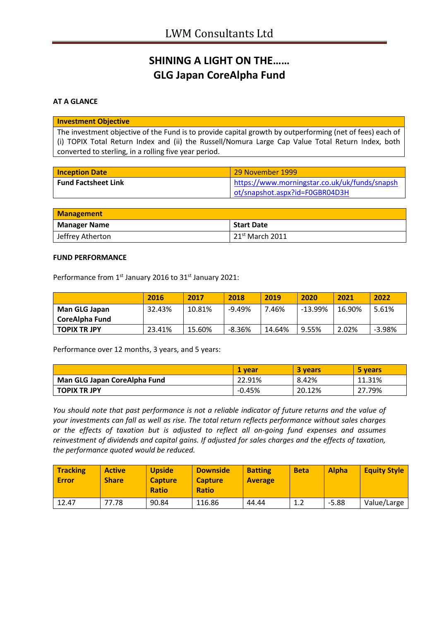# **SHINING A LIGHT ON THE…… GLG Japan CoreAlpha Fund**

### **AT A GLANCE**

#### **Investment Objective**

The investment objective of the Fund is to provide capital growth by outperforming (net of fees) each of (i) TOPIX Total Return Index and (ii) the Russell/Nomura Large Cap Value Total Return Index, both converted to sterling, in a rolling five year period.

| <b>Inception Date</b>      | 29 November 1999                              |
|----------------------------|-----------------------------------------------|
| <b>Fund Factsheet Link</b> | https://www.morningstar.co.uk/uk/funds/snapsh |
|                            | ot/snapshot.aspx?id=F0GBR04D3H                |

| <b>Management</b>   |                             |  |
|---------------------|-----------------------------|--|
| <b>Manager Name</b> | <b>Start Date</b>           |  |
| Jeffrey Atherton    | 21 <sup>st</sup> March 2011 |  |

#### **FUND PERFORMANCE**

Performance from 1<sup>st</sup> January 2016 to 31<sup>st</sup> January 2021:

|                      | 2016   | 2017   | 2018     | 2019   | 2020    | 2021   | 2022     |
|----------------------|--------|--------|----------|--------|---------|--------|----------|
| <b>Man GLG Japan</b> | 32.43% | 10.81% | $-9.49%$ | 7.46%  | -13.99% | 16.90% | 5.61%    |
| CoreAlpha Fund       |        |        |          |        |         |        |          |
| <b>TOPIX TR JPY</b>  | 23.41% | 15.60% | $-8.36%$ | 14.64% | 9.55%   | 2.02%  | $-3.98%$ |

Performance over 12 months, 3 years, and 5 years:

|                              | 1 vear   | <b>3 years</b> | 5 years |
|------------------------------|----------|----------------|---------|
| Man GLG Japan CoreAlpha Fund | 22.91%   | 8.42%          | 11.31%  |
| <b>TOPIX TR JPY</b>          | $-0.45%$ | 20.12%         | 27.79%  |

*You should note that past performance is not a reliable indicator of future returns and the value of your investments can fall as well as rise. The total return reflects performance without sales charges or the effects of taxation but is adjusted to reflect all on-going fund expenses and assumes reinvestment of dividends and capital gains. If adjusted for sales charges and the effects of taxation, the performance quoted would be reduced.*

| Tracking<br><b>Error</b> | <b>Active</b><br><b>Share</b> | <b>Upside</b><br><b>Capture</b><br><b>Ratio</b> | <b>Downside</b><br><b>Capture</b><br><b>Ratio</b> | <b>Batting</b><br><b>Average</b> | <b>Beta</b> | <b>Alpha</b> | <b>Equity Style</b> |
|--------------------------|-------------------------------|-------------------------------------------------|---------------------------------------------------|----------------------------------|-------------|--------------|---------------------|
| 12.47                    | 77.78                         | 90.84                                           | 116.86                                            | 44.44                            | 1.2         | $-5.88$      | Value/Large         |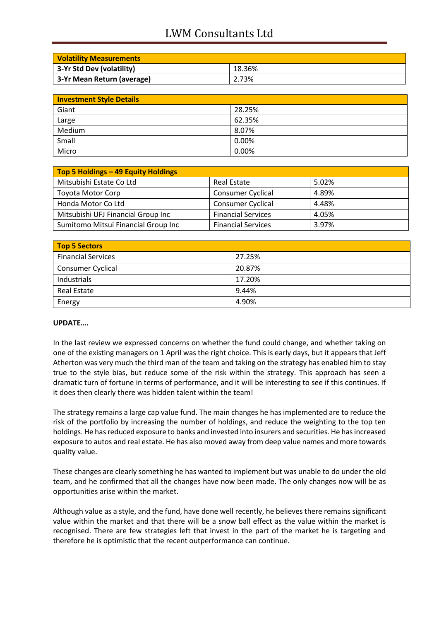# LWM Consultants Ltd

| <b>Volatility Measurements</b> |        |  |
|--------------------------------|--------|--|
| 3-Yr Std Dev (volatility)      | 18.36% |  |
| 3-Yr Mean Return (average)     | 2.73%  |  |

| <b>Investment Style Details</b> |        |  |
|---------------------------------|--------|--|
| Giant                           | 28.25% |  |
| Large                           | 62.35% |  |
| Medium                          | 8.07%  |  |
| Small                           | 0.00%  |  |
| Micro                           | 0.00%  |  |

| Top 5 Holdings - 49 Equity Holdings |                           |       |
|-------------------------------------|---------------------------|-------|
| Mitsubishi Estate Co Ltd            | <b>Real Estate</b>        | 5.02% |
| <b>Toyota Motor Corp</b>            | <b>Consumer Cyclical</b>  | 4.89% |
| Honda Motor Co Ltd                  | <b>Consumer Cyclical</b>  | 4.48% |
| Mitsubishi UFJ Financial Group Inc  | <b>Financial Services</b> | 4.05% |
| Sumitomo Mitsui Financial Group Inc | <b>Financial Services</b> | 3.97% |

| <b>Top 5 Sectors</b>      |        |  |
|---------------------------|--------|--|
| <b>Financial Services</b> | 27.25% |  |
| Consumer Cyclical         | 20.87% |  |
| Industrials               | 17.20% |  |
| <b>Real Estate</b>        | 9.44%  |  |
| Energy                    | 4.90%  |  |

### **UPDATE….**

In the last review we expressed concerns on whether the fund could change, and whether taking on one of the existing managers on 1 April was the right choice. This is early days, but it appears that Jeff Atherton was very much the third man of the team and taking on the strategy has enabled him to stay true to the style bias, but reduce some of the risk within the strategy. This approach has seen a dramatic turn of fortune in terms of performance, and it will be interesting to see if this continues. If it does then clearly there was hidden talent within the team!

The strategy remains a large cap value fund. The main changes he has implemented are to reduce the risk of the portfolio by increasing the number of holdings, and reduce the weighting to the top ten holdings. He has reduced exposure to banks and invested into insurers and securities. He has increased exposure to autos and real estate. He has also moved away from deep value names and more towards quality value.

These changes are clearly something he has wanted to implement but was unable to do under the old team, and he confirmed that all the changes have now been made. The only changes now will be as opportunities arise within the market.

Although value as a style, and the fund, have done well recently, he believes there remains significant value within the market and that there will be a snow ball effect as the value within the market is recognised. There are few strategies left that invest in the part of the market he is targeting and therefore he is optimistic that the recent outperformance can continue.